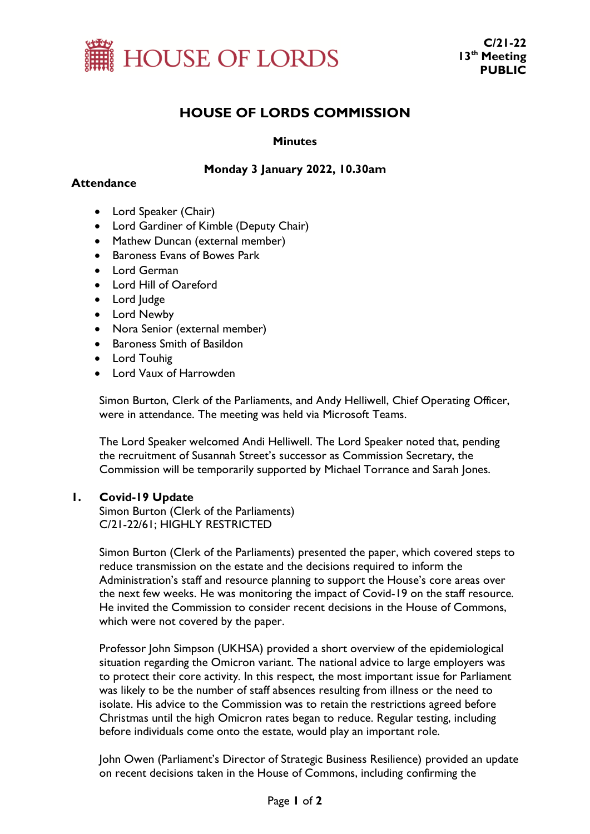

# **HOUSE OF LORDS COMMISSION**

### **Minutes**

## **Monday 3 January 2022, 10.30am**

### **Attendance**

- Lord Speaker (Chair)
- Lord Gardiner of Kimble (Deputy Chair)
- Mathew Duncan (external member)
- Baroness Evans of Bowes Park
- Lord German
- Lord Hill of Oareford
- Lord Judge
- Lord Newby
- Nora Senior (external member)
- Baroness Smith of Basildon
- Lord Touhig
- Lord Vaux of Harrowden

Simon Burton, Clerk of the Parliaments, and Andy Helliwell, Chief Operating Officer, were in attendance. The meeting was held via Microsoft Teams.

The Lord Speaker welcomed Andi Helliwell. The Lord Speaker noted that, pending the recruitment of Susannah Street's successor as Commission Secretary, the Commission will be temporarily supported by Michael Torrance and Sarah Jones.

#### **1. Covid-19 Update**

Simon Burton (Clerk of the Parliaments) C/21-22/61; HIGHLY RESTRICTED

Simon Burton (Clerk of the Parliaments) presented the paper, which covered steps to reduce transmission on the estate and the decisions required to inform the Administration's staff and resource planning to support the House's core areas over the next few weeks. He was monitoring the impact of Covid-19 on the staff resource. He invited the Commission to consider recent decisions in the House of Commons, which were not covered by the paper.

Professor John Simpson (UKHSA) provided a short overview of the epidemiological situation regarding the Omicron variant. The national advice to large employers was to protect their core activity. In this respect, the most important issue for Parliament was likely to be the number of staff absences resulting from illness or the need to isolate. His advice to the Commission was to retain the restrictions agreed before Christmas until the high Omicron rates began to reduce. Regular testing, including before individuals come onto the estate, would play an important role.

John Owen (Parliament's Director of Strategic Business Resilience) provided an update on recent decisions taken in the House of Commons, including confirming the